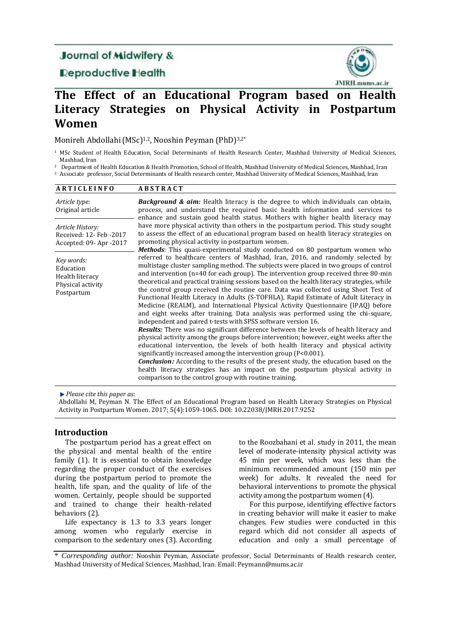## **Journal of Midwifery &**

## **Deproductive Health**



# **The Effect of an Educational Program based on Health Literacy Strategies on Physical Activity in Postpartum Women**

Monireh Abdollahi (MSc)<sup>1,2</sup>, Nooshin Peyman (PhD)<sup>3,2\*</sup>

<sup>1</sup> MSc Student of Health Education, Social Determinants of Health Research Center, Mashhad University of Medical Sciences, Mashhad, Iran

<sup>2</sup> Department of Health Education & Health Promotion, School of Health, Mashhad University of Medical Sciences, Mashhad, Iran

<sup>3</sup> Associate professor, Social Determinants of Health research center, Mashhad University of Medical Sciences, Mashhad, Iran

| <b>ARTICLEINFO</b>                                                            | <b>ABSTRACT</b>                                                                                                                                                                                                                                                                                                                                                                                                                                                                                                                                                                                                                                                                                                                                                                                                                                                                                                                                                                                                                                                                                                                                                                                                                                                                                                                                                                              |  |  |  |  |
|-------------------------------------------------------------------------------|----------------------------------------------------------------------------------------------------------------------------------------------------------------------------------------------------------------------------------------------------------------------------------------------------------------------------------------------------------------------------------------------------------------------------------------------------------------------------------------------------------------------------------------------------------------------------------------------------------------------------------------------------------------------------------------------------------------------------------------------------------------------------------------------------------------------------------------------------------------------------------------------------------------------------------------------------------------------------------------------------------------------------------------------------------------------------------------------------------------------------------------------------------------------------------------------------------------------------------------------------------------------------------------------------------------------------------------------------------------------------------------------|--|--|--|--|
| Article type:<br>Original article                                             | <b>Background &amp; aim:</b> Health literacy is the degree to which individuals can obtain,<br>process, and understand the required basic health information and services to<br>enhance and sustain good health status. Mothers with higher health literacy may                                                                                                                                                                                                                                                                                                                                                                                                                                                                                                                                                                                                                                                                                                                                                                                                                                                                                                                                                                                                                                                                                                                              |  |  |  |  |
| Article History:<br>Received: 12- Feb -2017<br>Accepted: 09-Apr -2017         | have more physical activity than others in the postpartum period. This study sought<br>to assess the effect of an educational program based on health literacy strategies on<br>promoting physical activity in postpartum women.<br><b>Methods</b> : This quasi-experimental study conducted on 80 postpartum women who                                                                                                                                                                                                                                                                                                                                                                                                                                                                                                                                                                                                                                                                                                                                                                                                                                                                                                                                                                                                                                                                      |  |  |  |  |
| Key words:<br>Education<br>Health literacy<br>Physical activity<br>Postpartum | referred to healthcare centers of Mashhad, Iran, 2016, and randomly selected by<br>multistage cluster sampling method. The subjects were placed in two groups of control<br>and intervention ( $n=40$ for each group). The intervention group received three 80-min<br>theoretical and practical training sessions based on the health literacy strategies, while<br>the control group received the routine care. Data was collected using Short Test of<br>Functional Health Literacy in Adults (S-TOFHLA), Rapid Estimate of Adult Literacy in<br>Medicine (REALM), and International Physical Activity Questionnaire (IPAQ) before<br>and eight weeks after training. Data analysis was performed using the chi-square,<br>independent and paired t-tests with SPSS software version 16.<br><b>Results:</b> There was no significant difference between the levels of health literacy and<br>physical activity among the groups before intervention; however, eight weeks after the<br>educational intervention, the levels of both health literacy and physical activity<br>significantly increased among the intervention group (P<0.001).<br><b>Conclusion:</b> According to the results of the present study, the education based on the<br>health literacy strategies has an impact on the postpartum physical activity in<br>comparison to the control group with routine training. |  |  |  |  |

*Please cite this paper as*:

Abdollahi M, Peyman N. The Effect of an Educational Program based on Health Literacy Strategies on Physical Activity in Postpartum Women. 2017; 5(4):1059-1065. DOI: 10.22038/JMRH.2017.9252

## **Introduction**

The postpartum period has a great effect on the physical and mental health of the entire family (1). It is essential to obtain knowledge regarding the proper conduct of the exercises during the postpartum period to promote the health, life span, and the quality of life of the women. Certainly, people should be supported and trained to change their health-related behaviors (2).

Life expectancy is 1.3 to 3.3 years longer among women who regularly exercise in comparison to the sedentary ones (3). According to the Roozbahani et al. study in 2011, the mean level of moderate-intensity physical activity was 45 min per week, which was less than the minimum recommended amount (150 min per week) for adults. It revealed the need for behavioral interventions to promote the physical activity among the postpartum women (4).

For this purpose, identifying effective factors in creating behavior will make it easier to make changes. Few studies were conducted in this regard which did not consider all aspects of education and only a small percentage of

\* *Corresponding author:* Nooshin Peyman, Associate professor, Social Determinants of Health research center, Mashhad University of Medical Sciences, Mashhad, Iran. Email[: Peymann@mums.ac.ir](mailto:Peymann@mums.ac.ir)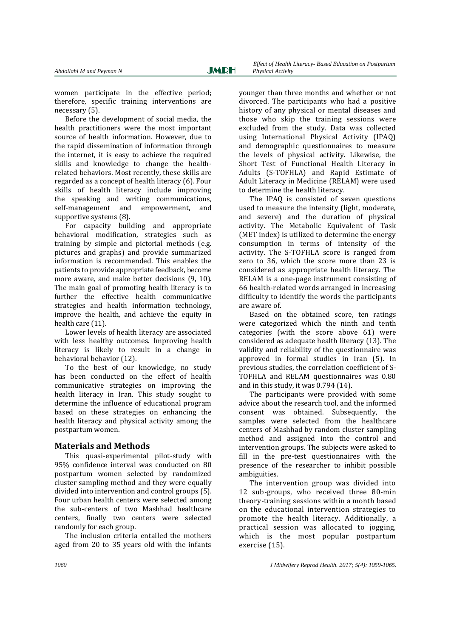women participate in the effective period; therefore, specific training interventions are necessary (5).

Before the development of social media, the health practitioners were the most important source of health information. However, due to the rapid dissemination of information through the internet, it is easy to achieve the required skills and knowledge to change the healthrelated behaviors. Most recently, these skills are regarded as a concept of health literacy (6). Four skills of health literacy include improving the speaking and writing communications, self-management and empowerment, and supportive systems (8).

For capacity building and appropriate behavioral modification, strategies such as training by simple and pictorial methods (e.g. pictures and graphs) and provide summarized information is recommended. This enables the patients to provide appropriate feedback, become more aware, and make better decisions (9, 10). The main goal of promoting health literacy is to further the effective health communicative strategies and health information technology, improve the health, and achieve the equity in health care (11).

Lower levels of health literacy are associated with less healthy outcomes. Improving health literacy is likely to result in a change in behavioral behavior (12).

To the best of our knowledge, no study has been conducted on the effect of health communicative strategies on improving the health literacy in Iran. This study sought to determine the influence of educational program based on these strategies on enhancing the health literacy and physical activity among the postpartum women.

## **Materials and Methods**

This quasi-experimental pilot-study with 95% confidence interval was conducted on 80 postpartum women selected by randomized cluster sampling method and they were equally divided into intervention and control groups (5). Four urban health centers were selected among the sub-centers of two Mashhad healthcare centers, finally two centers were selected randomly for each group.

The inclusion criteria entailed the mothers aged from 20 to 35 years old with the infants

younger than three months and whether or not divorced. The participants who had a positive history of any physical or mental diseases and those who skip the training sessions were excluded from the study. Data was collected using International Physical Activity (IPAQ) and demographic questionnaires to measure the levels of physical activity. Likewise, the Short Test of Functional Health Literacy in Adults (S-TOFHLA) and Rapid Estimate of Adult Literacy in Medicine (RELAM) were used to determine the health literacy.

The IPAQ is consisted of seven questions used to measure the intensity (light, moderate, and severe) and the duration of physical activity. The Metabolic Equivalent of Task (MET index) is utilized to determine the energy consumption in terms of intensity of the activity. The S-TOFHLA score is ranged from zero to 36, which the score more than 23 is considered as appropriate health literacy. The RELAM is a one-page instrument consisting of 66 health-related words arranged in increasing difficulty to identify the words the participants are aware of.

Based on the obtained score, ten ratings were categorized which the ninth and tenth categories (with the score above 61) were considered as adequate health literacy (13). The validity and reliability of the questionnaire was approved in formal studies in Iran (5). In previous studies, the correlation coefficient of S-TOFHLA and RELAM questionnaires was 0.80 and in this study, it was 0.794 (14).

The participants were provided with some advice about the research tool, and the informed consent was obtained. Subsequently, the samples were selected from the healthcare centers of Mashhad by random cluster sampling method and assigned into the control and intervention groups. The subjects were asked to fill in the pre-test questionnaires with the presence of the researcher to inhibit possible ambiguities.

The intervention group was divided into 12 sub-groups, who received three 80-min theory-training sessions within a month based on the educational intervention strategies to promote the health literacy. Additionally, a practical session was allocated to jogging, which is the most popular postpartum exercise (15).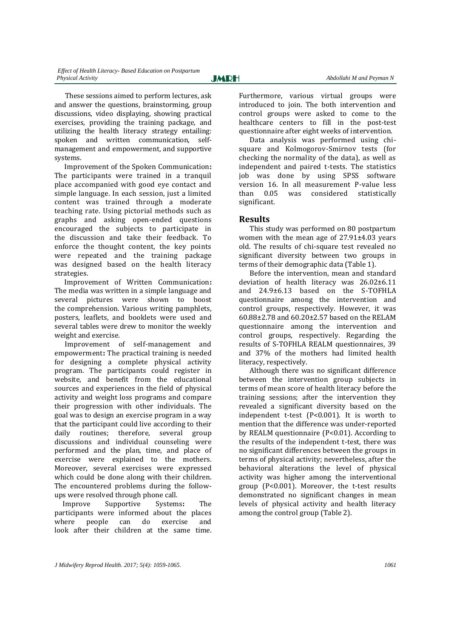These sessions aimed to perform lectures, ask and answer the questions, brainstorming, group discussions, video displaying, showing practical exercises, providing the training package, and utilizing the health literacy strategy entailing: spoken and written communication, selfmanagement and empowerment, and supportive systems.

 Improvement of the Spoken Communication**:**  The participants were trained in a tranquil place accompanied with good eye contact and simple language. In each session, just a limited content was trained through a moderate teaching rate. Using pictorial methods such as graphs and asking open-ended questions encouraged the subjects to participate in the discussion and take their feedback. To enforce the thought content, the key points were repeated and the training package was designed based on the health literacy strategies.

Improvement of Written Communication**:** The media was written in a simple language and several pictures were shown to boost the comprehension. Various writing pamphlets, posters, leaflets, and booklets were used and several tables were drew to monitor the weekly weight and exercise.

 Improvement of self-management and empowerment**:** The practical training is needed for designing a complete physical activity program. The participants could register in website, and benefit from the educational sources and experiences in the field of physical activity and weight loss programs and compare their progression with other individuals. The goal was to design an exercise program in a way that the participant could live according to their daily routines; therefore, several group discussions and individual counseling were performed and the plan, time, and place of exercise were explained to the mothers. Moreover, several exercises were expressed which could be done along with their children. The encountered problems during the followups were resolved through phone call.

 Improve Supportive Systems**:** The participants were informed about the places where people can do exercise and look after their children at the same time. Furthermore, various virtual groups were introduced to join. The both intervention and control groups were asked to come to the healthcare centers to fill in the post-test questionnaire after eight weeks of intervention.

Data analysis was performed using chisquare and Kolmogorov-Smirnov tests (for checking the normality of the data), as well as independent and paired t-tests. The statistics job was done by using SPSS software version 16. In all measurement P-value less than 0.05 was considered statistically significant.

## **Results**

This study was performed on 80 postpartum women with the mean age of 27.91±4.03 years old. The results of chi-square test revealed no significant diversity between two groups in terms of their demographic data (Table 1).

Before the intervention, mean and standard deviation of health literacy was 26.02±6.11 and 24.9±6.13 based on the S-TOFHLA questionnaire among the intervention and control groups, respectively. However, it was 60.88±2.78 and 60.20±2.57 based on the RELAM questionnaire among the intervention and control groups, respectively. Regarding the results of S-TOFHLA REALM questionnaires, 39 and 37% of the mothers had limited health literacy, respectively.

Although there was no significant difference between the intervention group subjects in terms of mean score of health literacy before the training sessions; after the intervention they revealed a significant diversity based on the independent t-test (P<0.001). It is worth to mention that the difference was under-reported by REALM questionnaire (P<0.01). According to the results of the independent t-test, there was no significant differences between the groups in terms of physical activity; nevertheless, after the behavioral alterations the level of physical activity was higher among the interventional group (P<0.001). Moreover, the t-test results demonstrated no significant changes in mean levels of physical activity and health literacy among the control group (Table 2).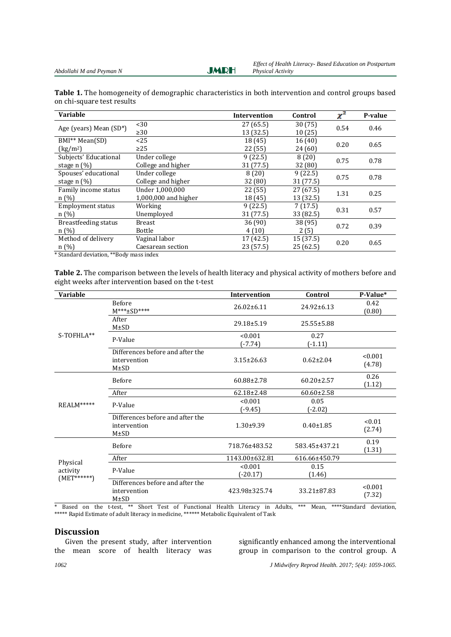**JMRH** 

| Table 1. The homogeneity of demographic characteristics in both intervention and control groups based |  |  |  |  |
|-------------------------------------------------------------------------------------------------------|--|--|--|--|
| on chi-square test results                                                                            |  |  |  |  |

| <b>Variable</b>                             |                      | <b>Intervention</b> | Control   | $\overline{\chi}^2$ | P-value |
|---------------------------------------------|----------------------|---------------------|-----------|---------------------|---------|
| Age (years) Mean $(SD^*)$                   | $30$                 | 27(65.5)            | 30(75)    | 0.54                | 0.46    |
|                                             | $\geq$ 30            | 13 (32.5)           | 10(25)    |                     |         |
| BMI <sup>**</sup> Mean(SD)                  | <25                  | 18 (45)             | 16(40)    | 0.20                | 0.65    |
| $\left(\frac{\text{kg}}{\text{m}^2}\right)$ | $\geq$ 25            | 22 (55)             | 24 (60)   |                     |         |
| Subjects' Educational                       | Under college        | 9(22.5)             | 8(20)     | 0.75                | 0.78    |
| stage $n$ (%)                               | College and higher   | 31 (77.5)           | 32 (80)   |                     |         |
| Spouses' educational                        | Under college        | 8(20)               | 9(22.5)   | 0.75                | 0.78    |
| stage $n$ $(\%)$                            | College and higher   | 32 (80)             | 31 (77.5) |                     |         |
| Family income status                        | Under 1,000,000      | 22 (55)             | 27 (67.5) | 1.31                | 0.25    |
| n(%)                                        | 1,000,000 and higher | 18 (45)             | 13 (32.5) |                     |         |
| <b>Employment status</b>                    | Working              | 9(22.5)             | 7(17.5)   | 0.31                | 0.57    |
| n(%)                                        | Unemployed           | 31 (77.5)           | 33 (82.5) |                     |         |
| <b>Breastfeeding status</b>                 | <b>Breast</b>        | 36(90)              | 38 (95)   | 0.72                | 0.39    |
| n(%)                                        | Bottle               | 4(10)               | 2(5)      |                     |         |
| Method of delivery                          | Vaginal labor        | 17 (42.5)           | 15 (37.5) | 0.20                | 0.65    |
| n(%)                                        | Caesarean section    | 23(57.5)            | 25(62.5)  |                     |         |

\* Standard deviation, \*\*Body mass index

**Table 2.** The comparison between the levels of health literacy and physical activity of mothers before and eight weeks after intervention based on the t-test

| <b>Variable</b>                       |                                                                | <b>Intervention</b>   | Control           | P-Value*          |
|---------------------------------------|----------------------------------------------------------------|-----------------------|-------------------|-------------------|
|                                       | Before<br>$M***+SD***$                                         | 26.02±6.11            | 24.92±6.13        | 0.42<br>(0.80)    |
| S-TOFHLA**                            | After<br>$M\pm SD$                                             | 29.18±5.19            | 25.55±5.88        |                   |
|                                       | P-Value                                                        | < 0.001<br>$(-7.74)$  | 0.27<br>$(-1.11)$ |                   |
|                                       | Differences before and after the<br>intervention<br>$M \pm SD$ | $3.15 \pm 26.63$      | $0.62 \pm 2.04$   | < 0.001<br>(4.78) |
| REALM*****                            | Before                                                         | 60.88±2.78            | $60.20 \pm 2.57$  | 0.26<br>(1.12)    |
|                                       | After                                                          | $62.18 \pm 2.48$      | $60.60 \pm 2.58$  |                   |
|                                       | P-Value                                                        | < 0.001<br>$(-9.45)$  | 0.05<br>$(-2.02)$ |                   |
|                                       | Differences before and after the<br>intervention<br>$M\pm SD$  | $1.30 \pm 9.39$       | $0.40 \pm 1.85$   | < 0.01<br>(2.74)  |
| Physical<br>activity<br>$(MET******)$ | Before                                                         | 718.76±483.52         | 583.45±437.21     | 0.19<br>(1.31)    |
|                                       | After                                                          | 1143.00±632.81        | 616.66±450.79     |                   |
|                                       | P-Value                                                        | < 0.001<br>$(-20.17)$ | 0.15<br>(1.46)    |                   |
|                                       | Differences before and after the<br>intervention<br>$M \pm SD$ | 423.98±325.74         | 33.21±87.83       | < 0.001<br>(7.32) |

\* Based on the t-test, \*\* Short Test of Functional Health Literacy in Adults, \*\*\* Mean, \*\*\*\*Standard deviation, \*\*\*\*\* Rapid Estimate of adult literacy in medicine, \*\*\*\*\*\* Metabolic Equivalent of Task

## **Discussion**

Given the present study, after intervention the mean score of health literacy was

significantly enhanced among the interventional group in comparison to the control group. A

*1062 J Midwifery Reprod Health. 2017; 5(4): 1059-1065.*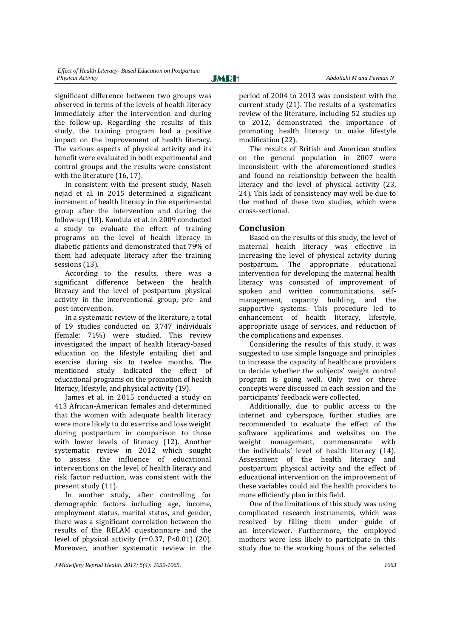significant difference between two groups was observed in terms of the levels of health literacy immediately after the intervention and during the follow-up. Regarding the results of this study, the training program had a positive impact on the improvement of health literacy. The various aspects of physical activity and its benefit were evaluated in both experimental and control groups and the results were consistent with the literature (16, 17).

In consistent with the present study, Naseh nejad et al. in 2015 determined a significant increment of health literacy in the experimental group after the intervention and during the follow-up (18). Kandula et al. in 2009 conducted a study to evaluate the effect of training programs on the level of health literacy in diabetic patients and demonstrated that 79% of them had adequate literacy after the training sessions (13).

According to the results, there was a significant difference between the health literacy and the level of postpartum physical activity in the interventional group, pre- and post-intervention.

In a systematic review of the literature, a total of 19 studies conducted on 3,747 individuals (female: 71%) were studied. This review investigated the impact of health literacy-based education on the lifestyle entailing diet and exercise during six to twelve months. The mentioned study indicated the effect of educational programs on the promotion of health literacy, lifestyle, and physical activity (19).

James et al. in 2015 conducted a study on 413 African-American females and determined that the women with adequate health literacy were more likely to do exercise and lose weight during postpartum in comparison to those with lower levels of literacy (12). Another systematic review in 2012 which sought to assess the influence of educational interventions on the level of health literacy and risk factor reduction, was consistent with the present study (11).

In another study, after controlling for demographic factors including age, income, employment status, marital status, and gender, there was a significant correlation between the results of the RELAM questionnaire and the level of physical activity  $(r=0.37, P<0.01)$  (20). Moreover, another systematic review in the

period of 2004 to 2013 was consistent with the current study (21). The results of a systematics review of the literature, including 52 studies up to 2012, demonstrated the importance of promoting health literacy to make lifestyle modification (22).

The results of British and American studies on the general population in 2007 were inconsistent with the aforementioned studies and found no relationship between the health literacy and the level of physical activity (23, 24). This lack of consistency may well be due to the method of these two studies, which were cross-sectional.

## **Conclusion**

Based on the results of this study, the level of maternal health literacy was effective in increasing the level of physical activity during postpartum. The appropriate educational intervention for developing the maternal health literacy was consisted of improvement of spoken and written communications, selfmanagement, capacity building, and the supportive systems. This procedure led to enhancement of health literacy, lifestyle, appropriate usage of services, and reduction of the complications and expenses.

Considering the results of this study, it was suggested to use simple language and principles to increase the capacity of healthcare providers to decide whether the subjects' weight control program is going well. Only two or three concepts were discussed in each session and the participants' feedback were collected.

Additionally, due to public access to the internet and cyberspace, further studies are recommended to evaluate the effect of the software applications and websites on the weight management, commensurate with the individuals' level of health literacy (14). Assessment of the health literacy and postpartum physical activity and the effect of educational intervention on the improvement of these variables could aid the health providers to more efficiently plan in this field.

One of the limitations of this study was using complicated research instruments, which was resolved by filling them under guide of an interviewer. Furthermore, the employed mothers were less likely to participate in this study due to the working hours of the selected

*J Midwifery Reprod Health. 2017; 5(4): 1059-1065. 1063*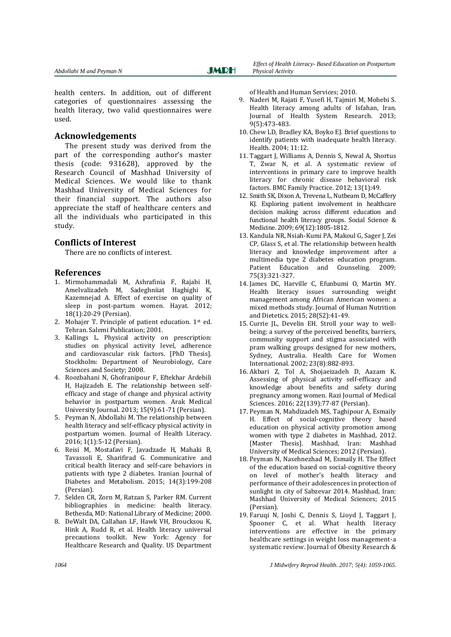health centers. In addition, out of different categories of questionnaires assessing the health literacy, two valid questionnaires were used.

## **Acknowledgements**

The present study was derived from the part of the corresponding author's master thesis (code: 931628), approved by the Research Council of Mashhad University of Medical Sciences. We would like to thank Mashhad University of Medical Sciences for their financial support. The authors also appreciate the staff of healthcare centers and all the individuals who participated in this study.

#### **Conflicts of Interest**

There are no conflicts of interest.

#### **References**

- 1. Mirmohammadali M, Ashrafinia F, Rajabi H, Amelvalizadeh M, Sadeghniiat Haghighi K, Kazemnejad A. Effect of exercise on quality of sleep in post-partum women. Hayat. 2012; 18(1):20-29 (Persian).
- 2. Mohajer T. Principle of patient education. 1st ed. Tehran. Salemi Publication; 2001.
- 3. Kallings L. Physical activity on prescription: studies on physical activity level, adherence and cardiovascular risk factors. [PhD Thesis]. Stockholm: Department of Neurobiology, Care Sciences and Society; 2008.
- 4. Roozbahani N, Ghofranipour F, Eftekhar Ardebili H, Hajizadeh E. The relationship between selfefficacy and stage of change and physical activity behavior in postpartum women. Arak Medical University Journal. 2013; 15(9):61-71 (Persian).
- 5. Peyman N, Abdollahi M. The relationship between health literacy and self-efficacy physical activity in postpartum women. Journal of Health Literacy. 2016; 1(1):5-12 (Persian).
- 6. Reisi M, Mostafavi F, Javadzade H, Mahaki B, Tavassoli E, Sharifirad G. Communicative and critical health literacy and self-care behaviors in patients with type 2 diabetes. Iranian Journal of Diabetes and Metabolism. 2015; 14(3):199-208 (Persian).
- 7. Selden CR, Zorn M, Ratzan S, Parker RM. Current bibliographies in medicine: health literacy. Bethesda, MD: National Library of Medicine; 2000.
- 8. DeWalt DA, Callahan LF, Hawk VH, Broucksou K, Hink A, Rudd R, et al. Health literacy universal precautions toolkit. New York: Agency for Healthcare Research and Quality. US Department

of Health and Human Services; 2010.

- 9. Naderi M, Rajati F, Yusefi H, Tajmiri M, Mohebi S. Health literacy among adults of Isfahan, Iran. Journal of Health System Research. 2013; 9(5):473-483.
- 10. Chew LD, Bradley KA, Boyko EJ. Brief questions to identify patients with inadequate health literacy. Health. 2004; 11:12.
- 11. Taggart J, Williams A, Dennis S, Newal A, Shortus T, Zwar N, et al. A systematic review of interventions in primary care to improve health literacy for chronic disease behavioral risk factors. BMC Family Practice. 2012; 13(1):49.
- 12. Smith SK, Dixon A, Trevena L, Nutbeam D, McCaffery KJ. Exploring patient involvement in healthcare decision making across different education and functional health literacy groups. [Social Science &](http://www.sciencedirect.com/science/journal/02779536)  [Medicine.](http://www.sciencedirect.com/science/journal/02779536) 2009; 69(12):1805-1812.
- 13. Kandula NR, Nsiah-Kumi PA, Makoul G, Sager J, Zei CP, Glass S, et al. The relationship between health literacy and knowledge improvement after a multimedia type 2 diabetes education program. Patient Education and Counseling. 2009; 75(3):321-327.
- 14. James DC, Harville C, Efunbumi O, Martin MY. Health literacy issues surrounding weight management among African American women: a mixed methods study. Journal of Human Nutrition and Dietetics. 2015; 28(S2):41-49.
- 15. Currie JL, Develin EH. Stroll your way to wellbeing: a survey of the perceived benefits, barriers, community support and stigma associated with pram walking groups designed for new mothers, Sydney, Australia. Health Care for Women International. 2002; 23(8):882-893.
- 16. Akbari Z, Tol A, Shojaeizadeh D, Aazam K. Assessing of physical activity self-efficacy and knowledge about benefits and safety during pregnancy among women. Razi Journal of Medical Sciences. 2016; 22(139):77-87 (Persian).
- 17. Peyman N, Mahdizadeh MS, Taghipour A, Esmaily H. Effect of social-cognitive theory based education on physical activity promotion among women with type 2 diabetes in Mashhad, 2012. [Master Thesis]. Mashhad, Iran: Mashhad University of Medical Sciences; 2012 (Persian).
- 18. Peyman N, Nasehnezhad M, Esmaily H. The Effect of the education based on social-cognitive theory on level of mother's health literacy and performance of their adolescences in protection of sunlight in city of Sabzevar 2014. Mashhad, Iran: Mashhad University of Medical Sciences; 2015 (Persian).
- 19. Faruqi N, Joshi C, Dennis S, Lioyd J, Taggart J, Spooner C, et al. What health literacy interventions are effective in the primary healthcare settings in weight loss management-a systematic review. Journal of Obesity Research &

*1064 J Midwifery Reprod Health. 2017; 5(4): 1059-1065.*